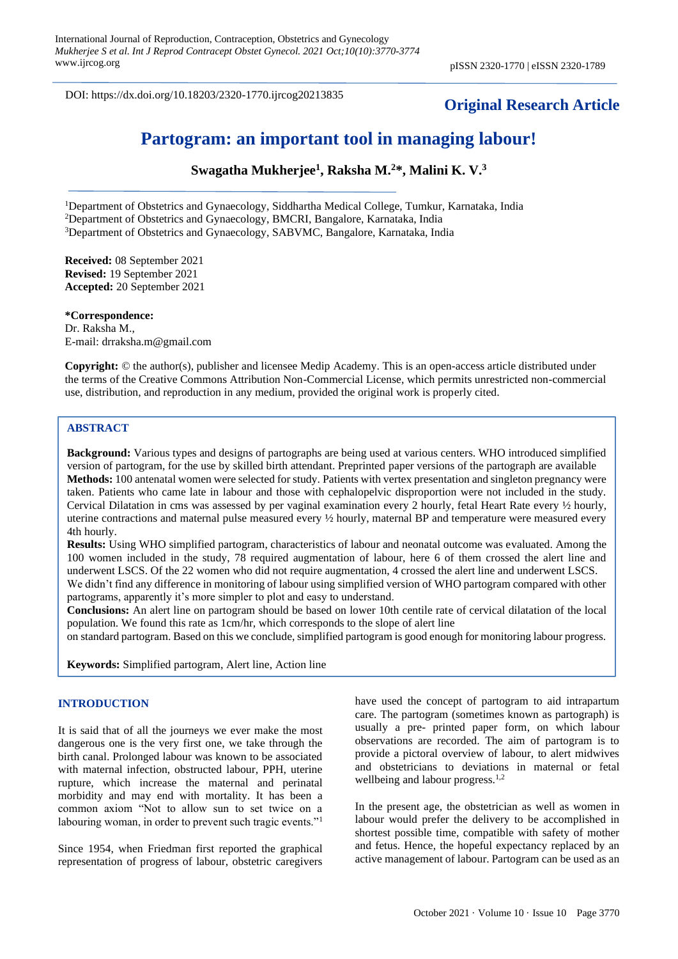DOI: https://dx.doi.org/10.18203/2320-1770.ijrcog20213835

## **Original Research Article**

## **Partogram: an important tool in managing labour!**

**Swagatha Mukherjee<sup>1</sup> , Raksha M.<sup>2</sup>\*, Malini K. V.<sup>3</sup>**

<sup>1</sup>Department of Obstetrics and Gynaecology, Siddhartha Medical College, Tumkur, Karnataka, India <sup>2</sup>Department of Obstetrics and Gynaecology, BMCRI, Bangalore, Karnataka, India <sup>3</sup>Department of Obstetrics and Gynaecology, SABVMC, Bangalore, Karnataka, India

**Received:** 08 September 2021 **Revised:** 19 September 2021 **Accepted:** 20 September 2021

**\*Correspondence:** Dr. Raksha M., E-mail: drraksha.m@gmail.com

**Copyright:** © the author(s), publisher and licensee Medip Academy. This is an open-access article distributed under the terms of the Creative Commons Attribution Non-Commercial License, which permits unrestricted non-commercial use, distribution, and reproduction in any medium, provided the original work is properly cited.

#### **ABSTRACT**

**Background:** Various types and designs of partographs are being used at various centers. WHO introduced simplified version of partogram, for the use by skilled birth attendant. Preprinted paper versions of the partograph are available **Methods:** 100 antenatal women were selected for study. Patients with vertex presentation and singleton pregnancy were taken. Patients who came late in labour and those with cephalopelvic disproportion were not included in the study. Cervical Dilatation in cms was assessed by per vaginal examination every 2 hourly, fetal Heart Rate every ½ hourly, uterine contractions and maternal pulse measured every ½ hourly, maternal BP and temperature were measured every 4th hourly.

**Results:** Using WHO simplified partogram, characteristics of labour and neonatal outcome was evaluated. Among the 100 women included in the study, 78 required augmentation of labour, here 6 of them crossed the alert line and underwent LSCS. Of the 22 women who did not require augmentation, 4 crossed the alert line and underwent LSCS. We didn't find any difference in monitoring of labour using simplified version of WHO partogram compared with other

partograms, apparently it's more simpler to plot and easy to understand.

**Conclusions:** An alert line on partogram should be based on lower 10th centile rate of cervical dilatation of the local population. We found this rate as 1cm/hr, which corresponds to the slope of alert line

on standard partogram. Based on this we conclude, simplified partogram is good enough for monitoring labour progress.

**Keywords:** Simplified partogram, Alert line, Action line

#### **INTRODUCTION**

It is said that of all the journeys we ever make the most dangerous one is the very first one, we take through the birth canal. Prolonged labour was known to be associated with maternal infection, obstructed labour, PPH, uterine rupture, which increase the maternal and perinatal morbidity and may end with mortality. It has been a common axiom "Not to allow sun to set twice on a labouring woman, in order to prevent such tragic events."<sup>1</sup>

Since 1954, when Friedman first reported the graphical representation of progress of labour, obstetric caregivers have used the concept of partogram to aid intrapartum care. The partogram (sometimes known as partograph) is usually a pre- printed paper form, on which labour observations are recorded. The aim of partogram is to provide a pictoral overview of labour, to alert midwives and obstetricians to deviations in maternal or fetal wellbeing and labour progress.<sup>1,2</sup>

In the present age, the obstetrician as well as women in labour would prefer the delivery to be accomplished in shortest possible time, compatible with safety of mother and fetus. Hence, the hopeful expectancy replaced by an active management of labour. Partogram can be used as an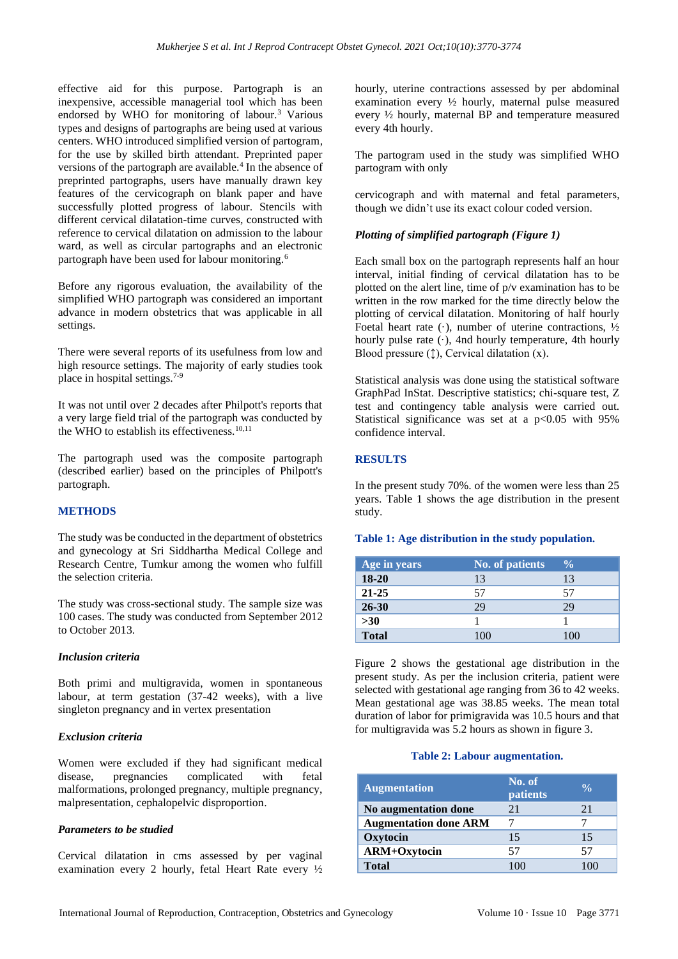effective aid for this purpose. Partograph is an inexpensive, accessible managerial tool which has been endorsed by WHO for monitoring of labour.<sup>3</sup> Various types and designs of partographs are being used at various centers. WHO introduced simplified version of partogram, for the use by skilled birth attendant. Preprinted paper versions of the partograph are available.<sup>4</sup> In the absence of preprinted partographs, users have manually drawn key features of the cervicograph on blank paper and have successfully plotted progress of labour. Stencils with different cervical dilatation-time curves, constructed with reference to cervical dilatation on admission to the labour ward, as well as circular partographs and an electronic partograph have been used for labour monitoring.<sup>6</sup>

Before any rigorous evaluation, the availability of the simplified WHO partograph was considered an important advance in modern obstetrics that was applicable in all settings.

There were several reports of its usefulness from low and high resource settings. The majority of early studies took place in hospital settings.7-9

It was not until over 2 decades after Philpott's reports that a very large field trial of the partograph was conducted by the WHO to establish its effectiveness.<sup>10,11</sup>

The partograph used was the composite partograph (described earlier) based on the principles of Philpott's partograph.

## **METHODS**

The study was be conducted in the department of obstetrics and gynecology at Sri Siddhartha Medical College and Research Centre, Tumkur among the women who fulfill the selection criteria.

The study was cross-sectional study. The sample size was 100 cases. The study was conducted from September 2012 to October 2013.

#### *Inclusion criteria*

Both primi and multigravida, women in spontaneous labour, at term gestation (37-42 weeks), with a live singleton pregnancy and in vertex presentation

#### *Exclusion criteria*

Women were excluded if they had significant medical disease, pregnancies complicated with fetal malformations, prolonged pregnancy, multiple pregnancy, malpresentation, cephalopelvic disproportion.

#### *Parameters to be studied*

Cervical dilatation in cms assessed by per vaginal examination every 2 hourly, fetal Heart Rate every ½ hourly, uterine contractions assessed by per abdominal examination every ½ hourly, maternal pulse measured every ½ hourly, maternal BP and temperature measured every 4th hourly.

The partogram used in the study was simplified WHO partogram with only

cervicograph and with maternal and fetal parameters, though we didn't use its exact colour coded version.

#### *Plotting of simplified partograph (Figure 1)*

Each small box on the partograph represents half an hour interval, initial finding of cervical dilatation has to be plotted on the alert line, time of p/v examination has to be written in the row marked for the time directly below the plotting of cervical dilatation. Monitoring of half hourly Foetal heart rate  $(\cdot)$ , number of uterine contractions,  $\frac{1}{2}$ hourly pulse rate  $(·)$ , 4nd hourly temperature, 4th hourly Blood pressure  $(1)$ , Cervical dilatation  $(x)$ .

Statistical analysis was done using the statistical software GraphPad InStat. Descriptive statistics; chi-square test, Z test and contingency table analysis were carried out. Statistical significance was set at a  $p<0.05$  with 95% confidence interval.

#### **RESULTS**

In the present study 70%. of the women were less than 25 years. Table 1 shows the age distribution in the present study.

| Age in years | <b>No. of patients</b> | $\frac{0}{0}$ |
|--------------|------------------------|---------------|
| $18 - 20$    | 13                     | 13            |
| $21 - 25$    | 57                     | 57            |
| $26 - 30$    | 29                     | 29            |
| $>30$        |                        |               |
| <b>Total</b> | 100                    | 100           |

**Table 1: Age distribution in the study population.**

Figure 2 shows the gestational age distribution in the present study. As per the inclusion criteria, patient were selected with gestational age ranging from 36 to 42 weeks. Mean gestational age was 38.85 weeks. The mean total duration of labor for primigravida was 10.5 hours and that for multigravida was 5.2 hours as shown in figure 3.

#### **Table 2: Labour augmentation.**

| <b>Augmentation</b>          | No. of<br><b>patients</b> | $\frac{0}{\alpha}$ |
|------------------------------|---------------------------|--------------------|
| No augmentation done         | 21                        | 21                 |
| <b>Augmentation done ARM</b> |                           |                    |
| Oxytocin                     | 15                        | 15                 |
| ARM+Oxytocin                 | 57                        | 57                 |
| Total                        |                           |                    |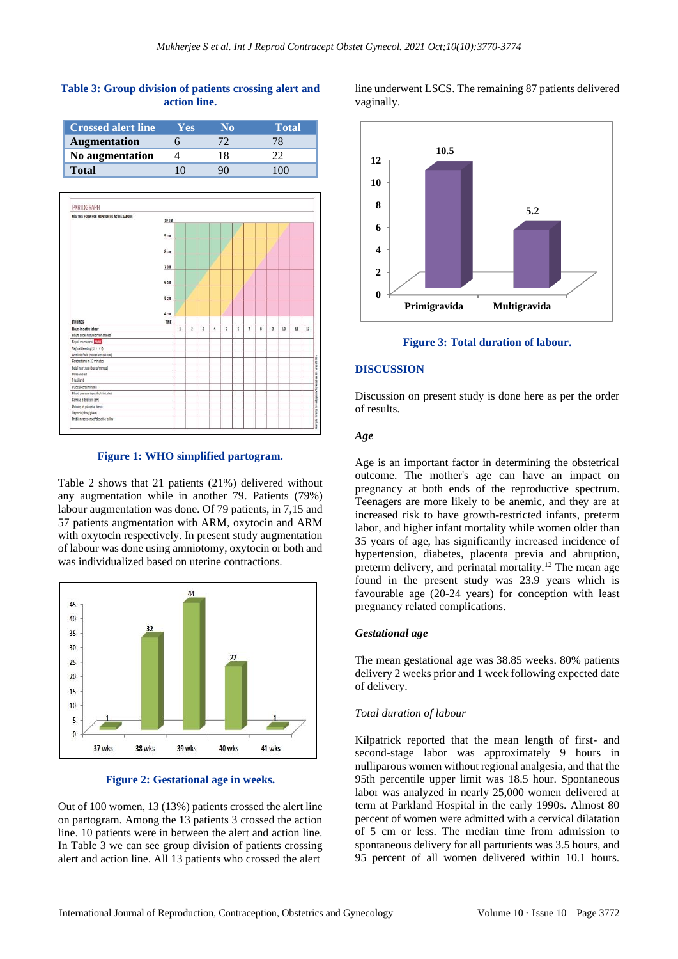# **Table 3: Group division of patients crossing alert and action line.**

| <b>Crossed alert line</b> | Y <sub>es</sub> | No | Total |
|---------------------------|-----------------|----|-------|
| <b>Augmentation</b>       |                 |    |       |
| No augmentation           |                 | 18 |       |
| <b>Total</b>              | 10              |    | 100   |



**Figure 1: WHO simplified partogram.**

Table 2 shows that 21 patients (21%) delivered without any augmentation while in another 79. Patients (79%) labour augmentation was done. Of 79 patients, in 7,15 and 57 patients augmentation with ARM, oxytocin and ARM with oxytocin respectively. In present study augmentation of labour was done using amniotomy, oxytocin or both and was individualized based on uterine contractions.



**Figure 2: Gestational age in weeks.**

Out of 100 women, 13 (13%) patients crossed the alert line on partogram. Among the 13 patients 3 crossed the action line. 10 patients were in between the alert and action line. In Table 3 we can see group division of patients crossing alert and action line. All 13 patients who crossed the alert

line underwent LSCS. The remaining 87 patients delivered vaginally.



**Figure 3: Total duration of labour.**

#### **DISCUSSION**

Discussion on present study is done here as per the order of results.

#### *Age*

Age is an important factor in determining the obstetrical outcome. The mother's age can have an impact on pregnancy at both ends of the reproductive spectrum. Teenagers are more likely to be anemic, and they are at increased risk to have growth-restricted infants, preterm labor, and higher infant mortality while women older than 35 years of age, has significantly increased incidence of hypertension, diabetes, placenta previa and abruption, preterm delivery, and perinatal mortality.<sup>12</sup> The mean age found in the present study was 23.9 years which is favourable age (20-24 years) for conception with least pregnancy related complications.

#### *Gestational age*

The mean gestational age was 38.85 weeks. 80% patients delivery 2 weeks prior and 1 week following expected date of delivery.

## *Total duration of labour*

Kilpatrick reported that the mean length of first- and second-stage labor was approximately 9 hours in nulliparous women without regional analgesia, and that the 95th percentile upper limit was 18.5 hour. Spontaneous labor was analyzed in nearly 25,000 women delivered at term at Parkland Hospital in the early 1990s. Almost 80 percent of women were admitted with a cervical dilatation of 5 cm or less. The median time from admission to spontaneous delivery for all parturients was 3.5 hours, and 95 percent of all women delivered within 10.1 hours.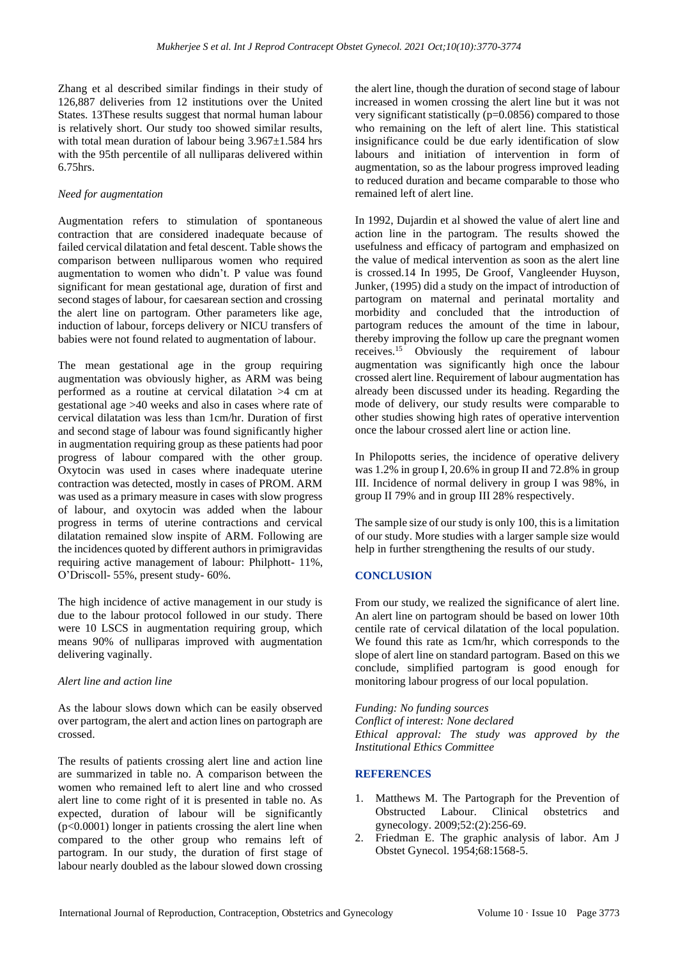Zhang et al described similar findings in their study of 126,887 deliveries from 12 institutions over the United States. 13These results suggest that normal human labour is relatively short. Our study too showed similar results, with total mean duration of labour being  $3.967 \pm 1.584$  hrs with the 95th percentile of all nulliparas delivered within 6.75hrs.

#### *Need for augmentation*

Augmentation refers to stimulation of spontaneous contraction that are considered inadequate because of failed cervical dilatation and fetal descent. Table shows the comparison between nulliparous women who required augmentation to women who didn't. P value was found significant for mean gestational age, duration of first and second stages of labour, for caesarean section and crossing the alert line on partogram. Other parameters like age, induction of labour, forceps delivery or NICU transfers of babies were not found related to augmentation of labour.

The mean gestational age in the group requiring augmentation was obviously higher, as ARM was being performed as a routine at cervical dilatation >4 cm at gestational age >40 weeks and also in cases where rate of cervical dilatation was less than 1cm/hr. Duration of first and second stage of labour was found significantly higher in augmentation requiring group as these patients had poor progress of labour compared with the other group. Oxytocin was used in cases where inadequate uterine contraction was detected, mostly in cases of PROM. ARM was used as a primary measure in cases with slow progress of labour, and oxytocin was added when the labour progress in terms of uterine contractions and cervical dilatation remained slow inspite of ARM. Following are the incidences quoted by different authors in primigravidas requiring active management of labour: Philphott- 11%, O'Driscoll- 55%, present study- 60%.

The high incidence of active management in our study is due to the labour protocol followed in our study. There were 10 LSCS in augmentation requiring group, which means 90% of nulliparas improved with augmentation delivering vaginally.

#### *Alert line and action line*

As the labour slows down which can be easily observed over partogram, the alert and action lines on partograph are crossed.

The results of patients crossing alert line and action line are summarized in table no. A comparison between the women who remained left to alert line and who crossed alert line to come right of it is presented in table no. As expected, duration of labour will be significantly (p<0.0001) longer in patients crossing the alert line when compared to the other group who remains left of partogram. In our study, the duration of first stage of labour nearly doubled as the labour slowed down crossing the alert line, though the duration of second stage of labour increased in women crossing the alert line but it was not very significant statistically (p=0.0856) compared to those who remaining on the left of alert line. This statistical insignificance could be due early identification of slow labours and initiation of intervention in form of augmentation, so as the labour progress improved leading to reduced duration and became comparable to those who remained left of alert line.

In 1992, Dujardin et al showed the value of alert line and action line in the partogram. The results showed the usefulness and efficacy of partogram and emphasized on the value of medical intervention as soon as the alert line is crossed.14 In 1995, De Groof, Vangleender Huyson, Junker, (1995) did a study on the impact of introduction of partogram on maternal and perinatal mortality and morbidity and concluded that the introduction of partogram reduces the amount of the time in labour, thereby improving the follow up care the pregnant women receives.<sup>15</sup> Obviously the requirement of labour augmentation was significantly high once the labour crossed alert line. Requirement of labour augmentation has already been discussed under its heading. Regarding the mode of delivery, our study results were comparable to other studies showing high rates of operative intervention once the labour crossed alert line or action line.

In Philopotts series, the incidence of operative delivery was 1.2% in group I, 20.6% in group II and 72.8% in group III. Incidence of normal delivery in group I was 98%, in group II 79% and in group III 28% respectively.

The sample size of our study is only 100, this is a limitation of our study. More studies with a larger sample size would help in further strengthening the results of our study.

## **CONCLUSION**

From our study, we realized the significance of alert line. An alert line on partogram should be based on lower 10th centile rate of cervical dilatation of the local population. We found this rate as 1cm/hr, which corresponds to the slope of alert line on standard partogram. Based on this we conclude, simplified partogram is good enough for monitoring labour progress of our local population.

*Funding: No funding sources Conflict of interest: None declared Ethical approval: The study was approved by the Institutional Ethics Committee*

#### **REFERENCES**

- 1. Matthews M. The Partograph for the Prevention of Obstructed Labour. Clinical obstetrics and gynecology. 2009;52:(2):256-69.
- 2. Friedman E. The graphic analysis of labor. Am J Obstet Gynecol. 1954;68:1568-5.